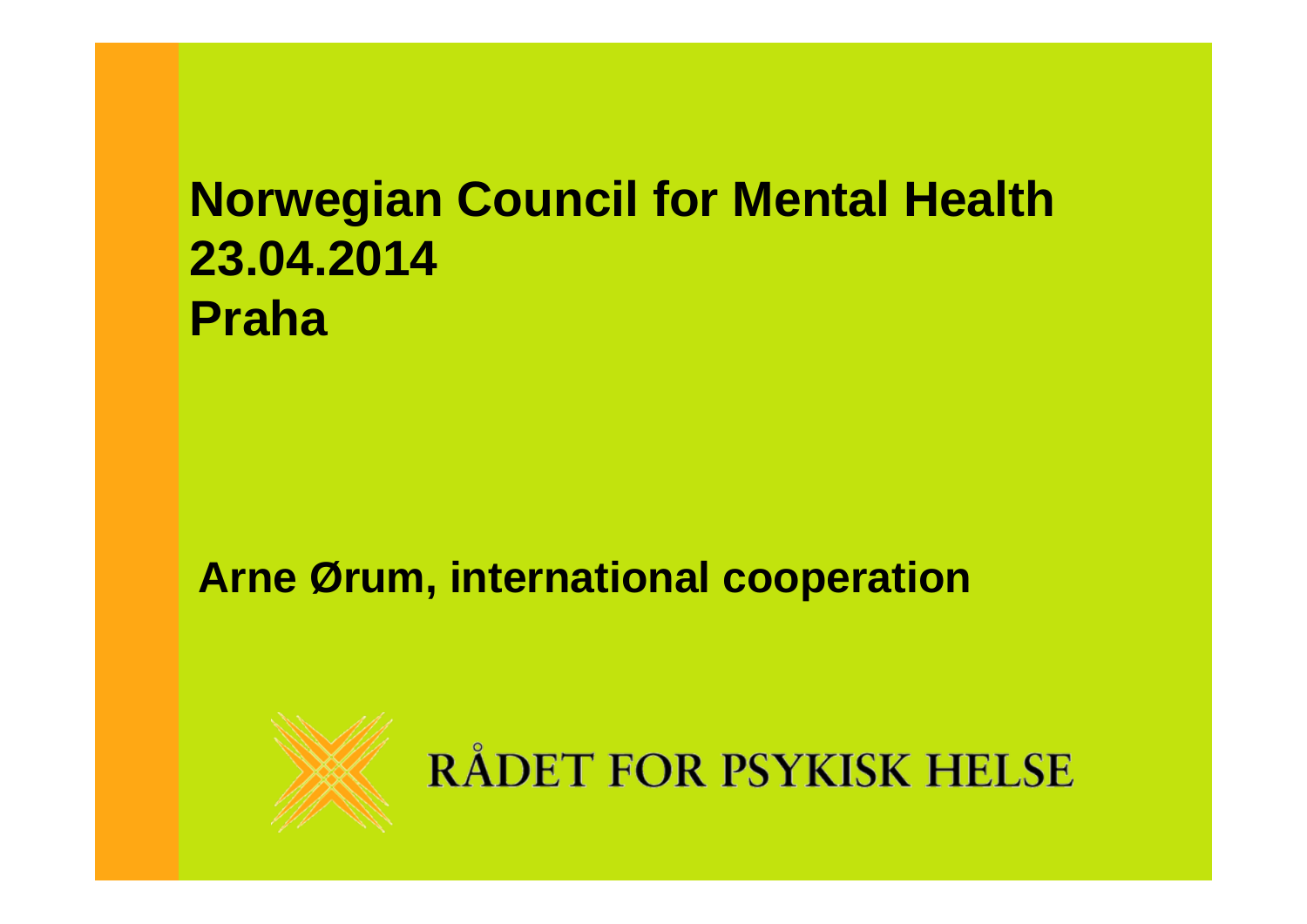## **Norwegian Council for Mental Health 23.04.2014 Praha**

## **Arne Ørum, international cooperation**



RÅDET FOR PSYKISK HELSE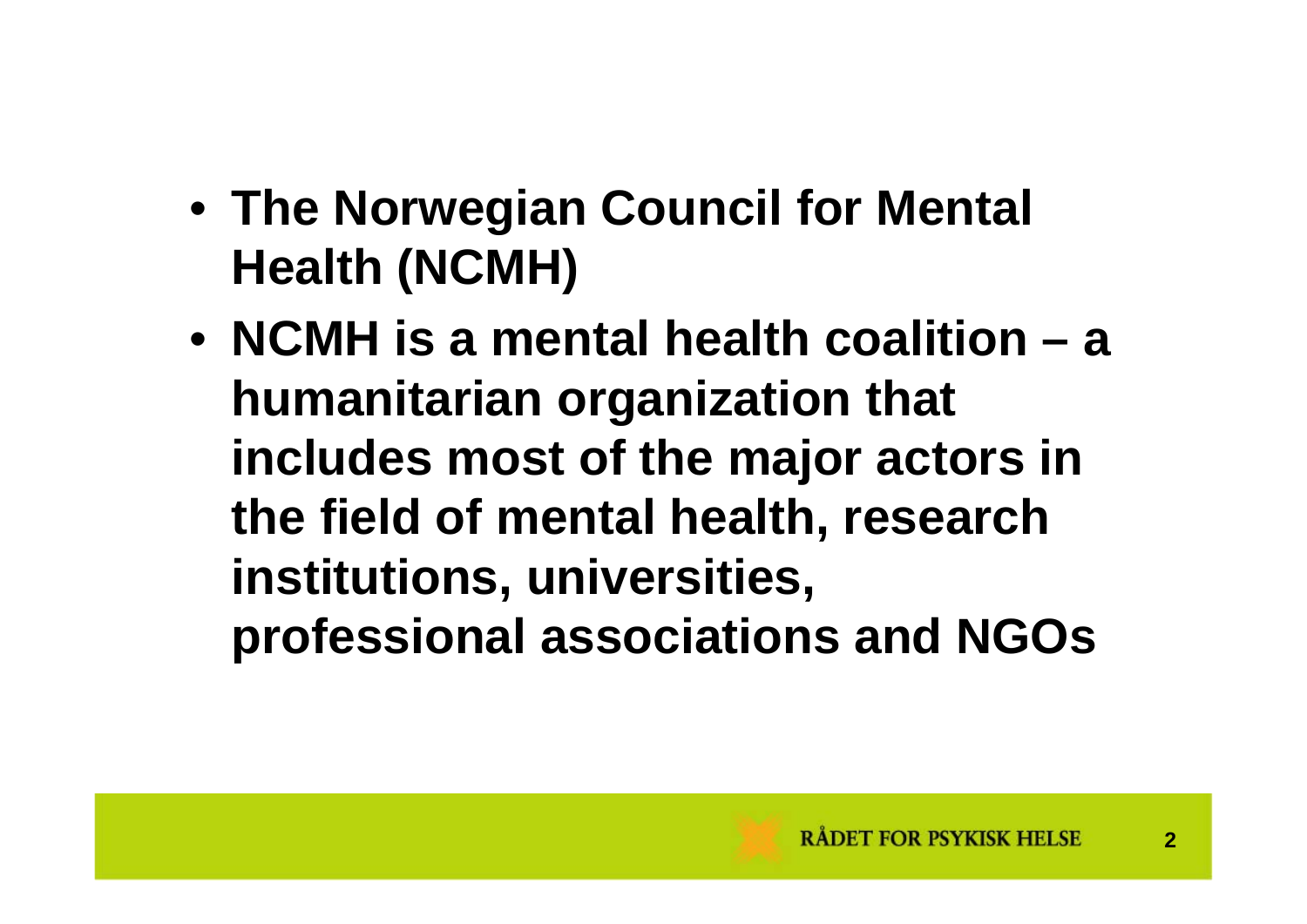- **The Norwegian Council for Mental Health (NCMH)**
- **NCMH is a mental health coalition – a humanitarian organization that includes most of the major actors in the field of mental health, research institutions, universities, professional associations and NGOs**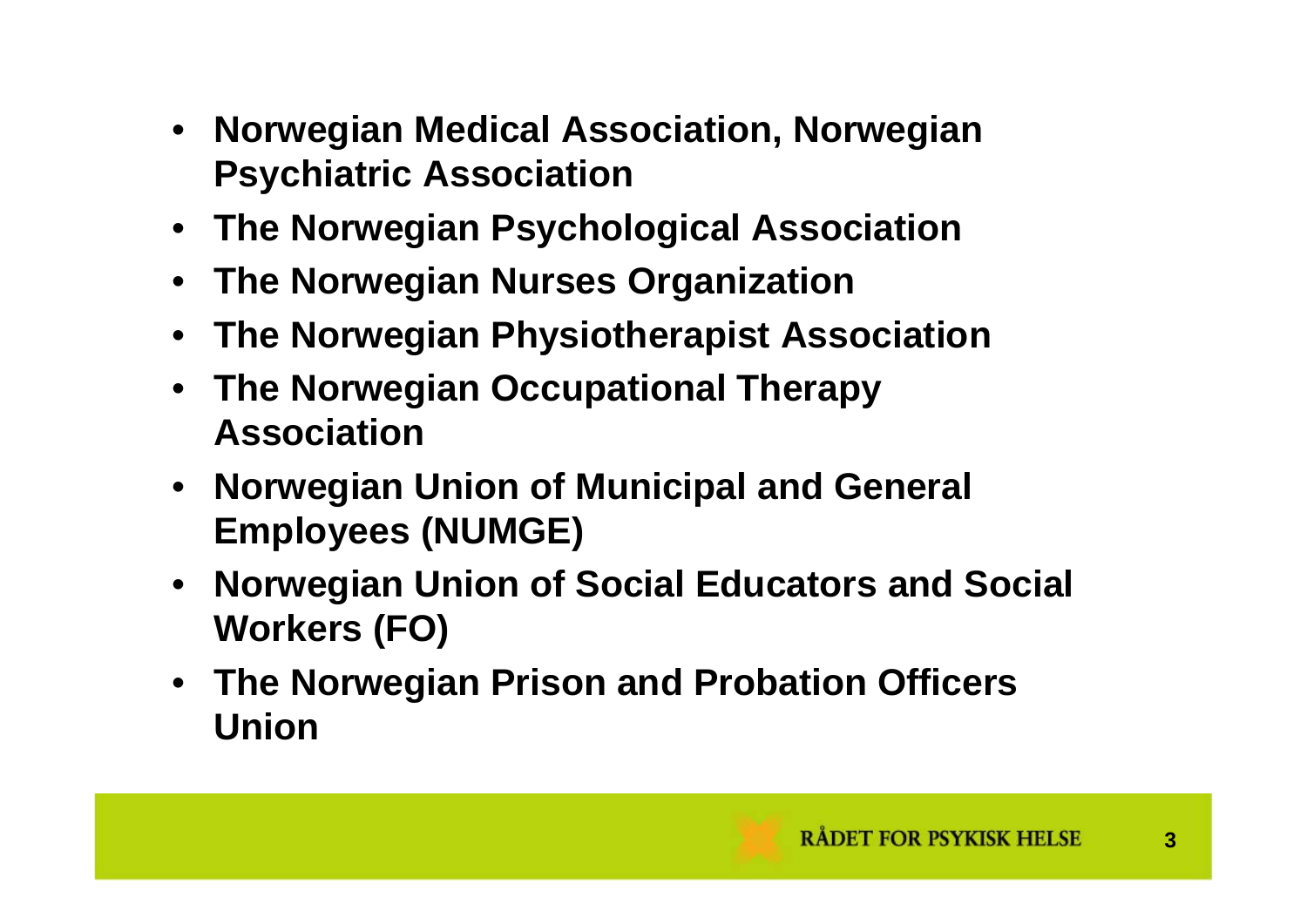- **Norwegian Medical Association, Norwegian Psychiatric Association**
- **The Norwegian Psychological Association**
- •**The Norwegian Nurses Organization**
- •**The Norwegian Physiotherapist Association**
- **The Norwegian Occupational Therapy Association**
- **Norwegian Union of Municipal and General Employees (NUMGE)**
- **Norwegian Union of Social Educators and Social Workers (FO)**
- **The Norwegian Prison and Probation Officers Union**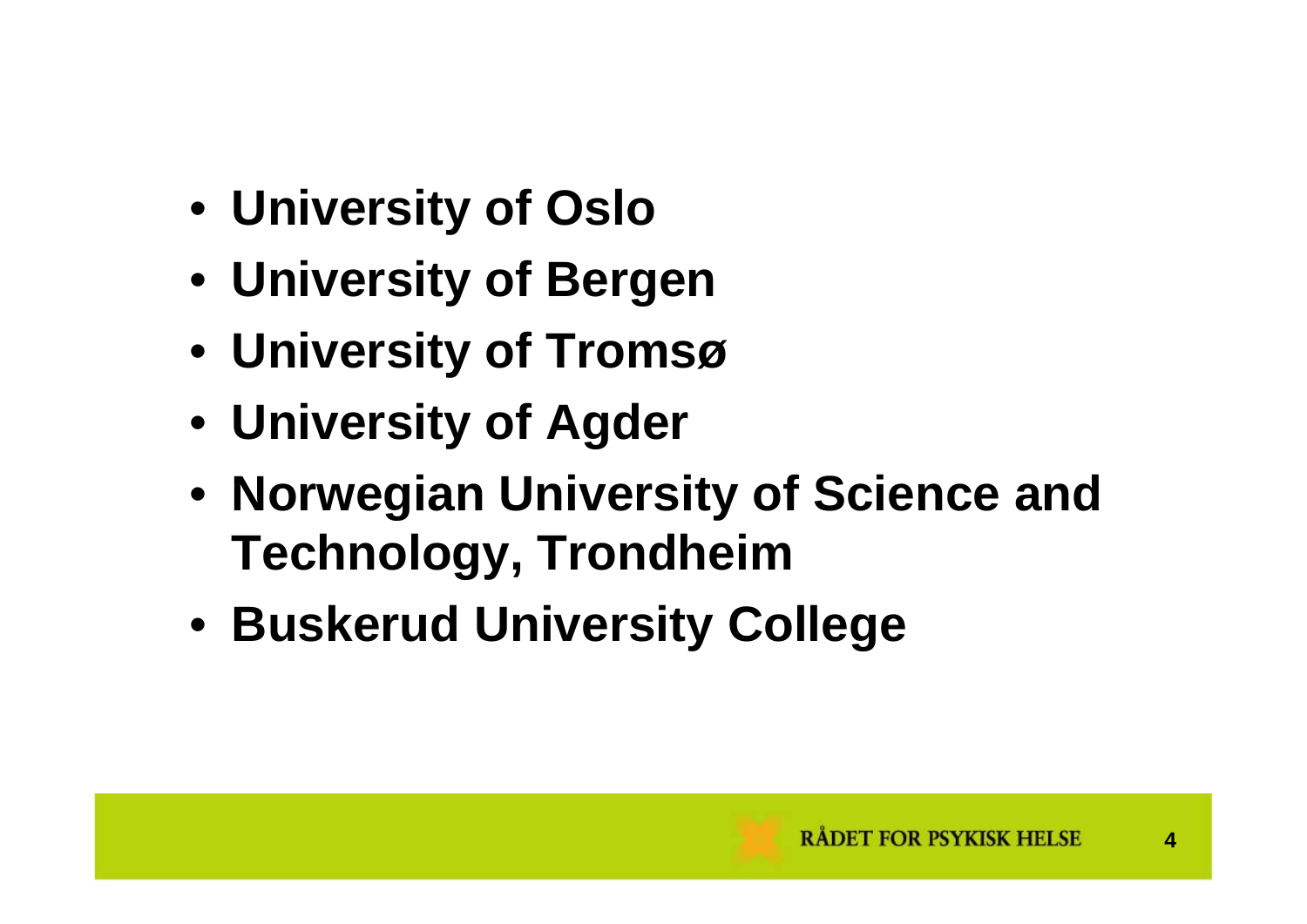- **University of Oslo**
- **University of Bergen**
- **University of Tromsø**
- **University of Agder**
- **Norwegian University of Science and Technology, Trondheim**
- **Buskerud University College**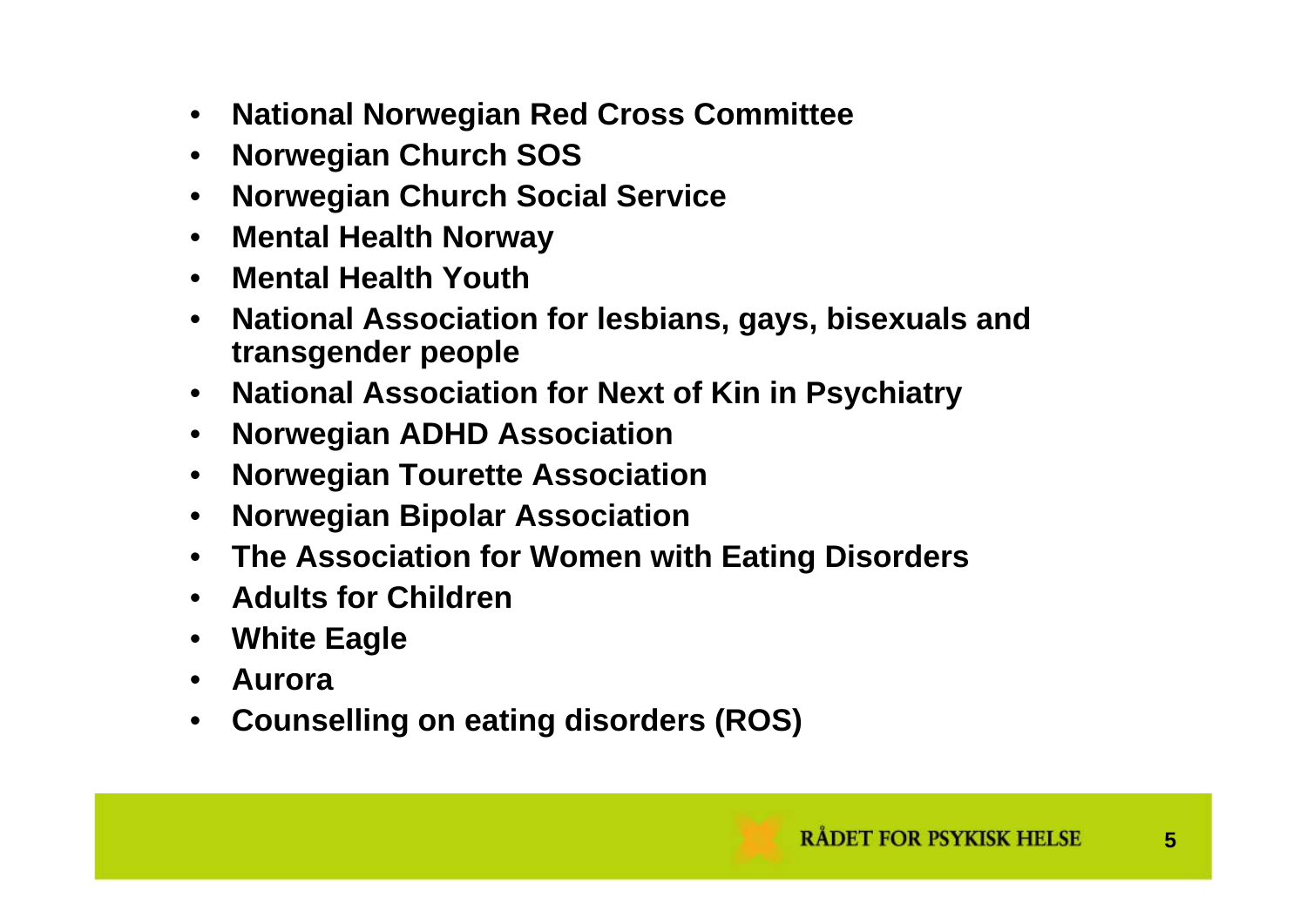- $\bullet$ **National Norwegian Red Cross Committee**
- $\bullet$ **Norwegian Church SOS**
- $\bullet$ **Norwegian Church Social Service**
- $\bullet$ **Mental Health Norway**
- **Mental Health Youth**
- **National Association for lesbians, gays, bisexuals and transgender people**
- **National Association for Next of Kin in Psychiatry**
- $\bullet$ **Norwegian ADHD Association**
- $\bullet$ **Norwegian Tourette Association**
- $\bullet$ **Norwegian Bipolar Association**
- **The Association for Women with Eating Disorders**
- **Adults for Children**
- $\bullet$ **White Eagle**
- $\bullet$ **Aurora**
- •**Counselling on eating disorders (ROS)**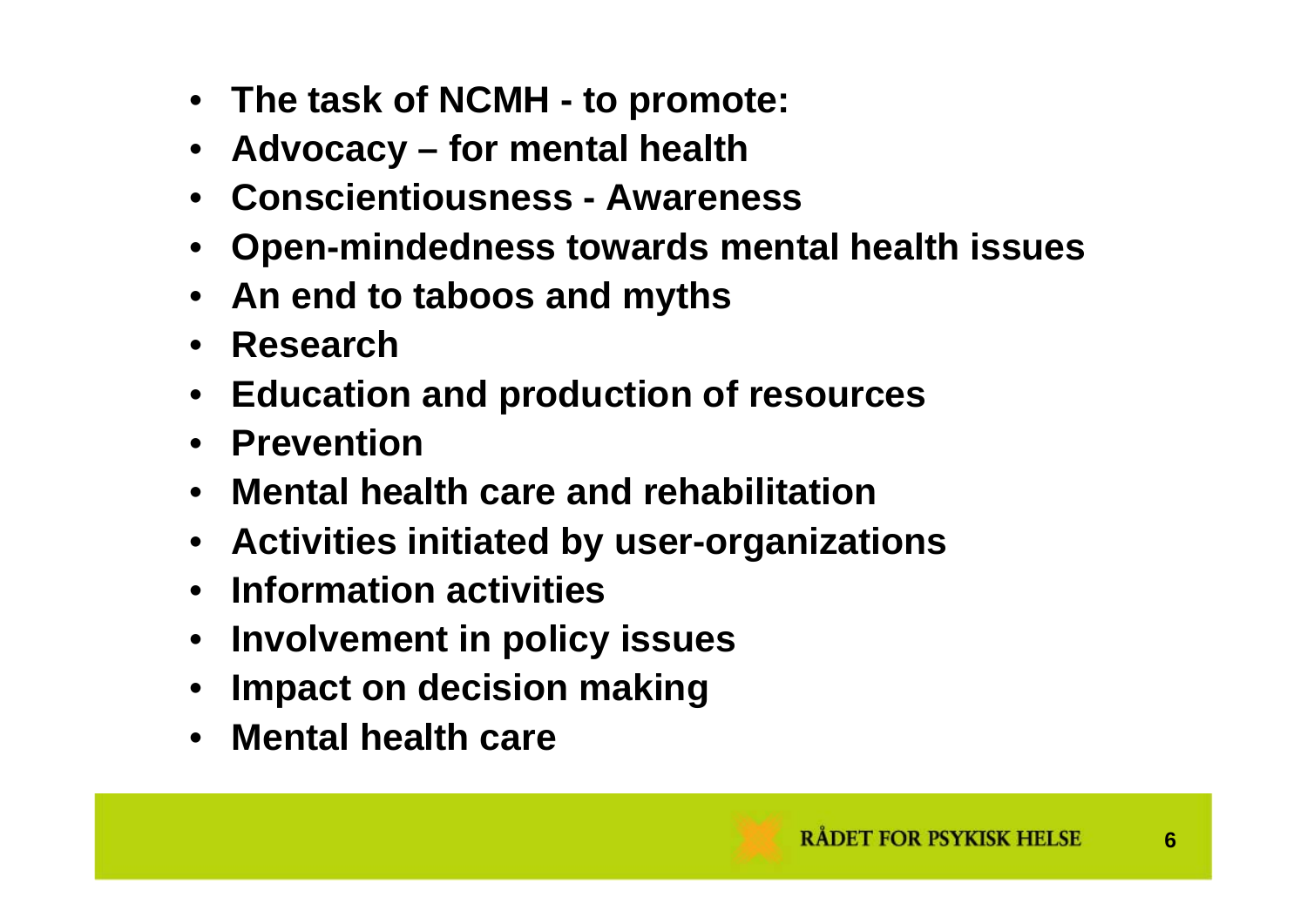- **The task of NCMH - to promote:**
- **Advocacy – for mental health**
- **Conscientiousness - Awareness**
- •**Open-mindedness towards mental health issues**
- **An end to taboos and myths**
- **Research**
- **Education and production of resources**
- **Prevention**
- **Mental health care and rehabilitation**
- **Activities initiated by user-organizations**
- **Information activities**
- **Involvement in policy issues**
- $\bullet$ **Impact on decision making**
- **Mental health care**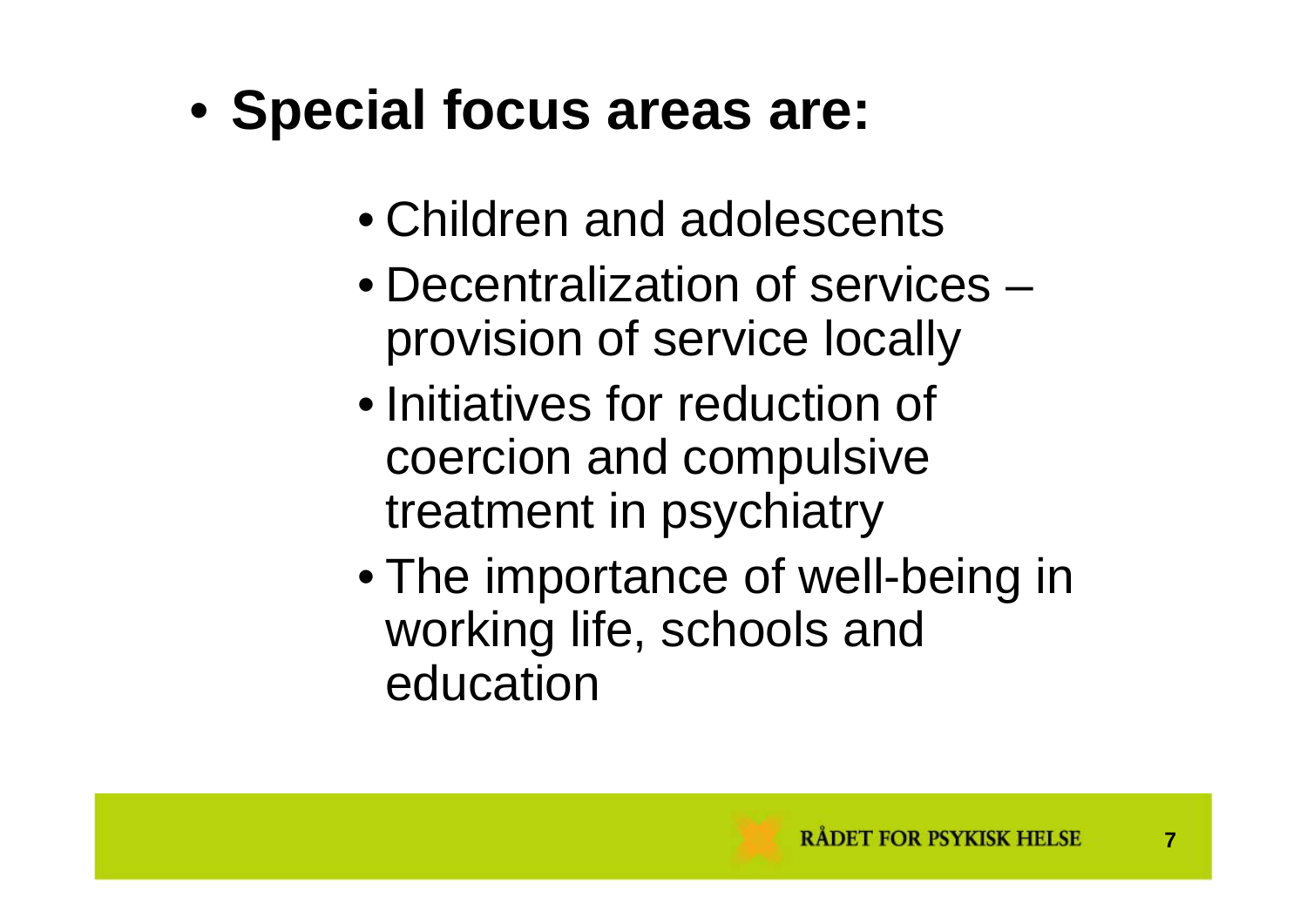## • **Special focus areas are:**

- Children and adolescents
- Decentralization of services –provision of service locally
- Initiatives for reduction of coercion and compulsive treatment in psychiatry
- The importance of well-being in working life, schools and education